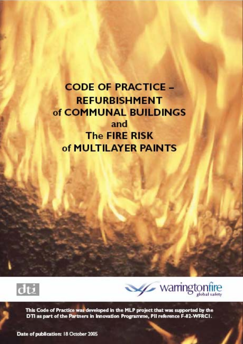**CODE OF PRACTICE -REFURBISHMENT** of COMMUNAL BUILDINGS and **The FIRE RISK** of MULTILAYER PAINTS





This Code of Practice was developed in the MLP project that was supported by the DTI as part of the Partners in Innovation Programme, PII reference F-02-WFRCI.

Date of publication: 18 October 2005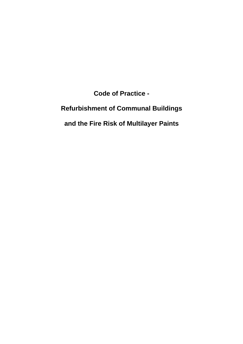**Code of Practice -** 

# **Refurbishment of Communal Buildings**

## **and the Fire Risk of Multilayer Paints**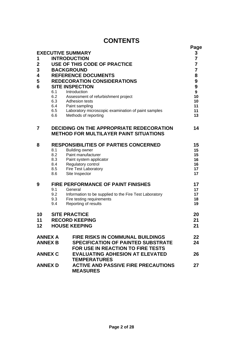## **CONTENTS**

| 1<br>$\mathbf 2$<br>3<br>4<br>5<br>6 | 6.1<br>$6.2$<br>$6.3$<br>$6.4$<br>6.5<br>6.6                          | <b>EXECUTIVE SUMMARY</b><br><b>INTRODUCTION</b><br>USE OF THIS CODE OF PRACTICE<br><b>BACKGROUND</b><br><b>REFERENCE DOCUMENTS</b><br><b>REDECORATION CONSIDERATIONS</b><br><b>SITE INSPECTION</b><br>Introduction<br>Assessment of refurbishment project<br>Adhesion tests<br>Paint sampling<br>Laboratory microscopic examination of paint samples<br>Methods of reporting | Page<br>3<br>$\overline{7}$<br>$\overline{7}$<br>$\overline{7}$<br>8<br>9<br>9<br>9<br>10<br>10<br>11<br>11<br>13 |
|--------------------------------------|-----------------------------------------------------------------------|------------------------------------------------------------------------------------------------------------------------------------------------------------------------------------------------------------------------------------------------------------------------------------------------------------------------------------------------------------------------------|-------------------------------------------------------------------------------------------------------------------|
| 7                                    |                                                                       | <b>DECIDING ON THE APPROPRIATE REDECORATION</b><br><b>METHOD FOR MULTILAYER PAINT SITUATIONS</b>                                                                                                                                                                                                                                                                             | 14                                                                                                                |
| 8                                    | 8.1<br>8.2<br>8.3<br>8.4<br>8.5<br>8.6                                | <b>RESPONSIBILITIES OF PARTIES CONCERNED</b><br><b>Building owner</b><br>Paint manufacturer<br>Paint system applicator<br>Regulatory control<br><b>Fire Test Laboratory</b><br>Site Inspector                                                                                                                                                                                | 15<br>15<br>15<br>16<br>16<br>17<br>17                                                                            |
| 9                                    | 9.1<br>9.2<br>9.3<br>9.4                                              | <b>FIRE PERFORMANCE OF PAINT FINISHES</b><br>General<br>Information to be supplied to the Fire Test Laboratory<br>Fire testing requirements<br>Reporting of results                                                                                                                                                                                                          | 17<br>17<br>17<br>18<br>19                                                                                        |
| 10<br>11<br>12                       | <b>SITE PRACTICE</b><br><b>RECORD KEEPING</b><br><b>HOUSE KEEPING</b> |                                                                                                                                                                                                                                                                                                                                                                              | 20<br>21<br>21                                                                                                    |
| <b>ANNEX A</b><br><b>ANNEX B</b>     |                                                                       | <b>FIRE RISKS IN COMMUNAL BUILDINGS</b><br><b>SPECIFICATION OF PAINTED SUBSTRATE</b><br><b>FOR USE IN REACTION TO FIRE TESTS</b>                                                                                                                                                                                                                                             | 22<br>24                                                                                                          |
| <b>ANNEX C</b>                       |                                                                       | <b>EVALUATING ADHESION AT ELEVATED</b><br><b>TEMPERATURES</b>                                                                                                                                                                                                                                                                                                                | 26                                                                                                                |
| <b>ANNEX D</b>                       |                                                                       | <b>ACTIVE AND PASSIVE FIRE PRECAUTIONS</b><br><b>MEASURES</b>                                                                                                                                                                                                                                                                                                                | 27                                                                                                                |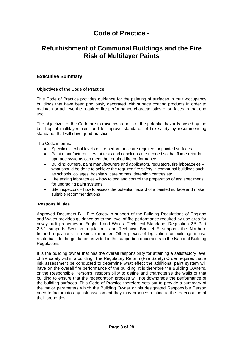## **Code of Practice -**

## **Refurbishment of Communal Buildings and the Fire Risk of Multilayer Paints**

## **Executive Summary**

## **Objectives of the Code of Practice**

This Code of Practice provides guidance for the painting of surfaces in multi-occupancy buildings that have been previously decorated with surface coating products in order to maintain or achieve the required fire performance characteristics of surfaces in that end use.

The objectives of the Code are to raise awareness of the potential hazards posed by the build up of multilayer paint and to improve standards of fire safety by recommending standards that will drive good practice.

The Code informs: -

- Specifiers what levels of fire performance are required for painted surfaces
- Paint manufacturers what tests and conditions are needed so that flame retardant upgrade systems can meet the required fire performance
- Building owners, paint manufacturers and applicators, regulators, fire laboratories what should be done to achieve the required fire safety in communal buildings such as schools, colleges, hospitals, care homes, detention centres etc
- Fire testing laboratories how to test and control the preparation of test specimens for upgrading paint systems
- Site inspectors how to assess the potential hazard of a painted surface and make suitable recommendations

## **Responsibilities**

Approved Document B – Fire Safety in support of the Building Regulations of England and Wales provides guidance as to the level of fire performance required by use area for newly built properties in England and Wales. Technical Standards Regulation 2.5 Part 2.5.1 supports Scottish regulations and Technical Booklet E supports the Northern Ireland regulations in a similar manner. Other pieces of legislation for buildings in use relate back to the guidance provided in the supporting documents to the National Building Regulations.

It is the building owner that has the overall responsibility for attaining a satisfactory level of fire safety within a building. The Regulatory Reform (Fire Safety) Order requires that a risk assessment be conducted to determine what effect the additional paint system will have on the overall fire performance of the building. It is therefore the Building Owner's, or the Responsible Person's, responsibility to define and characterise the walls of that building to ensure that the redecoration process will not downgrade the performance of the building surfaces. This Code of Practice therefore sets out to provide a summary of the major parameters which the Building Owner or his designated Responsible Person need to factor into any risk assessment they may produce relating to the redecoration of their properties.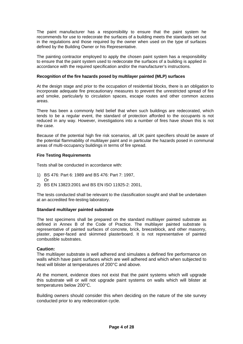The paint manufacturer has a responsibility to ensure that the paint system he recommends for use to redecorate the surfaces of a building meets the standards set out in the regulations and those required by the owner when used on the type of surfaces defined by the Building Owner or his Representative.

The painting contractor employed to apply the chosen paint system has a responsibility to ensure that the paint system used to redecorate the surfaces of a building is applied in accordance with the required specification and/or the manufacturer's instructions.

#### **Recognition of the fire hazards posed by multilayer painted (MLP) surfaces**

At the design stage and prior to the occupation of residential blocks, there is an obligation to incorporate adequate fire precautionary measures to prevent the unrestricted spread of fire and smoke, particularly to circulation spaces, escape routes and other common access areas.

There has been a commonly held belief that when such buildings are redecorated, which tends to be a regular event, the standard of protection afforded to the occupants is not reduced in any way. However, investigations into a number of fires have shown this is not the case.

Because of the potential high fire risk scenarios, all UK paint specifiers should be aware of the potential flammability of multilayer paint and in particular the hazards posed in communal areas of multi-occupancy buildings in terms of fire spread.

## **Fire Testing Requirements**

Tests shall be conducted in accordance with:

- 1) BS 476: Part 6: 1989 and BS 476: Part 7: 1997, Or
- 2) BS EN 13823:2001 and BS EN ISO 11925-2: 2001,

The tests conducted shall be relevant to the classification sought and shall be undertaken at an accredited fire-testing laboratory.

## **Standard multilayer painted substrate**

The test specimens shall be prepared on the standard multilayer painted substrate as defined in Annex B of the Code of Practice. The multilayer painted substrate is representative of painted surfaces of concrete, brick, breezeblock, and other masonry, plaster, paper-faced and skimmed plasterboard. It is not representative of painted combustible substrates.

## **Caution:**

The multilayer substrate is well adhered and simulates a defined fire performance on walls which have paint surfaces which are well adhered and which when subjected to heat will blister at temperatures of 200°C and above.

At the moment, evidence does not exist that the paint systems which will upgrade this substrate will or will not upgrade paint systems on walls which will blister at temperatures below 200°C.

Building owners should consider this when deciding on the nature of the site survey conducted prior to any redecoration cycle.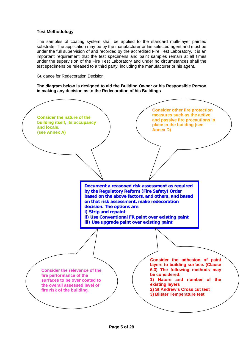## **Test Methodology**

The samples of coating system shall be applied to the standard multi-layer painted substrate. The application may be by the manufacturer or his selected agent and must be under the full supervision of and recorded by the accredited Fire Test Laboratory. It is an important requirement that the test specimens and paint samples remain at all times under the supervision of the Fire Test Laboratory and under no circumstances shall the test specimens be released to a third party, including the manufacturer or his agent.

Guidance for Redecoration Decision

**The diagram below is designed to aid the Building Owner or his Responsible Person in making any decision as to the Redecoration of his Buildings** 

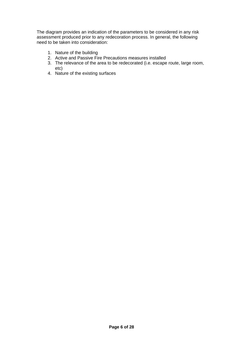The diagram provides an indication of the parameters to be considered in any risk assessment produced prior to any redecoration process. In general, the following need to be taken into consideration:

- 1. Nature of the building
- 2. Active and Passive Fire Precautions measures installed
- 3. The relevance of the area to be redecorated (i.e. escape route, large room, etc)
- 4. Nature of the existing surfaces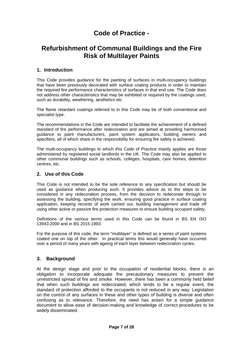## **Code of Practice -**

## **Refurbishment of Communal Buildings and the Fire Risk of Multilayer Paints**

## **1. Introduction**

This Code provides guidance for the painting of surfaces in multi-occupancy buildings that have been previously decorated with surface coating products in order to maintain the required fire performance characteristics of surfaces in that end use. The Code does not address other characteristics that may be exhibited or required by the coatings used, such as durability, weathering, aesthetics etc.

The flame retardant coatings referred to in this Code may be of both conventional and specialist type.

The recommendations in the Code are intended to facilitate the achievement of a defined standard of fire performance after redecoration and are aimed at providing harmonised guidance to paint manufacturers, paint system applicators, building owners and specifiers, all of which share in the responsibility for ensuring fire safety is achieved.

The multi-occupancy buildings to which this Code of Practice mainly applies are those administered by registered social landlords in the UK. The Code may also be applied to other communal buildings such as schools, colleges, hospitals, care homes, detention centres, etc.

## **2. Use of this Code**

This Code is not intended to be the sole reference to any specification but should be used as guidance when producing such. It provides advice as to the steps to be considered in any redecoration process, from the decision to redecorate through to assessing the building, specifying the work, ensuring good practice in surface coating application, keeping records of work carried out, building management and trade off using other active or passive fire protection measures to ensure building occupant safety.

Definitions of the various terms used in this Code can be found in BS EN ISO 13943:2000 and in BS 2015:1993.

For the purpose of this code, the term "multilayer" is defined as a series of paint systems coated one on top of the other. In practical terms this would generally have occurred over a period of many years with ageing of each layer between redecoration cycles.

## **3. Background**

At the design stage and prior to the occupation of residential blocks, there is an obligation to incorporate adequate fire precautionary measures to prevent the unrestricted spread of fire and smoke. However, there has been a commonly held belief that when such buildings are redecorated, which tends to be a regular event, the standard of protection afforded to the occupants is not reduced in any way. Legislation on the control of any surfaces in these and other types of building is diverse and often confusing as to relevance. Therefore, the need has arisen for a simple guidance document to allow ease of decision-making and knowledge of correct procedures to be widely disseminated.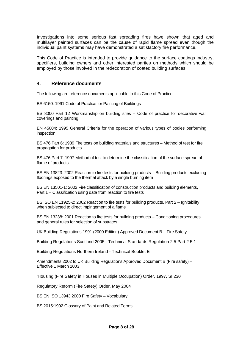Investigations into some serious fast spreading fires have shown that aged and multilayer painted surfaces can be the cause of rapid flame spread even though the individual paint systems may have demonstrated a satisfactory fire performance.

This Code of Practice is intended to provide guidance to the surface coatings industry, specifiers, building owners and other interested parties on methods which should be employed by those involved in the redecoration of coated building surfaces.

## **4. Reference documents**

The following are reference documents applicable to this Code of Practice: -

BS 6150: 1991 Code of Practice for Painting of Buildings

BS 8000 Part 12 Workmanship on building sites – Code of practice for decorative wall coverings and painting

EN 45004: 1995 General Criteria for the operation of various types of bodies performing inspection

BS 476 Part 6: 1989 Fire tests on building materials and structures – Method of test for fire propagation for products

BS 476 Part 7: 1997 Method of test to determine the classification of the surface spread of flame of products

BS EN 13823: 2002 Reaction to fire tests for building products – Building products excluding floorings exposed to the thermal attack by a single burning item

BS EN 13501-1: 2002 Fire classification of construction products and building elements, Part 1 – Classification using data from reaction to fire tests

BS ISO EN 11925-2: 2002 Reaction to fire tests for building products, Part 2 – Ignitability when subjected to direct impingement of a flame

BS EN 13238: 2001 Reaction to fire tests for building products – Conditioning procedures and general rules for selection of substrates

UK Building Regulations 1991 (2000 Edition) Approved Document B – Fire Safety

Building Regulations Scotland 2005 - Technical Standards Regulation 2.5 Part 2.5.1

Building Regulations Northern Ireland - Technical Booklet E

Amendments 2002 to UK Building Regulations Approved Document B (Fire safety) – Effective 1 March 2003

'Housing (Fire Safety in Houses in Multiple Occupation) Order, 1997, SI 230

Regulatory Reform (Fire Safety) Order, May 2004

BS EN ISO 13943:2000 Fire Safety – Vocabulary

BS 2015:1992 Glossary of Paint and Related Terms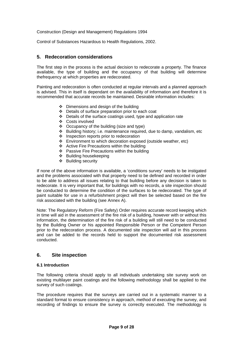Construction (Design and Management) Regulations 1994

Control of Substances Hazardous to Health Regulations, 2002.

## **5. Redecoration considerations**

The first step in the process is the actual decision to redecorate a property. The finance available, the type of building and the occupancy of that building will determine thefrequency at which properties are redecorated.

Painting and redecoration is often conducted at regular intervals and a planned approach is advised. This in itself is dependant on the availability of information and therefore it is recommended that accurate records be maintained. Desirable information includes:

- $\div$  Dimensions and design of the building
- Details of surface preparation prior to each coat
- $\cdot \cdot$  Details of the surface coatings used, type and application rate
- ❖ Costs involved
- ❖ Occupancy of the building (size and type)
- Building history; i.e. maintenance required, due to damp, vandalism, etc
- ❖ Inspection reports prior to redecoration
- Environment to which decoration exposed (outside weather, etc)
- $\triangle$  Active Fire Precautions within the building
- ❖ Passive Fire Precautions within the building
- ❖ Building housekeeping
- $\div$  Building security

If none of the above information is available, a 'conditions survey' needs to be instigated and the problems associated with that property need to be defined and recorded in order to be able to address all issues relating to that building before any decision is taken to redecorate. It is very important that, for buildings with no records, a site inspection should be conducted to determine the condition of the surfaces to be redecorated. The type of paint suitable for use in a refurbishment project will then be selected based on the fire risk associated with the building (see Annex A).

Note: The Regulatory Reform (Fire Safety) Order requires accurate record keeping which in time will aid in the assessment of the fire risk of a building, however with or without this information, the determination of the fire risk of a building will still need to be conducted by the Building Owner or his appointed Responsible Person or the Competent Person prior to the redecoration process. A documented site inspection will aid in this process and can be added to the records held to support the documented risk assessment conducted.

## **6. Site inspection**

## **6.1 Introduction**

The following criteria should apply to all individuals undertaking site survey work on existing multilayer paint coatings and the following methodology shall be applied to the survey of such coatings.

The procedure requires that the surveys are carried out in a systematic manner to a standard format to ensure consistency in approach, method of executing the survey, and recording of findings to ensure the survey is correctly executed. The methodology is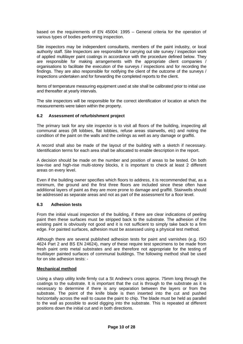based on the requirements of EN 45004: 1995 – General criteria for the operation of various types of bodies performing inspection.

Site inspectors may be independent consultants, members of the paint industry, or local authority staff. Site Inspectors are responsible for carrying out site survey / inspection work of applied multilayer paint coatings in accordance with the procedure defined below. They are responsible for making arrangements with the appropriate client companies / organisations to facilitate the execution of the surveys / inspections and for recording the findings. They are also responsible for notifying the client of the outcome of the surveys / inspections undertaken and for forwarding the completed reports to the client.

Items of temperature measuring equipment used at site shall be calibrated prior to initial use and thereafter at yearly intervals.

The site inspectors will be responsible for the correct identification of location at which the measurements were taken within the property.

## **6.2 Assessment of refurbishment project**

The primary task for any site inspector is to visit all floors of the building, inspecting all communal areas (lift lobbies, flat lobbies, refuse areas stairwells, etc) and noting the condition of the paint on the walls and the ceilings as well as any damage or graffiti.

A record shall also be made of the layout of the building with a sketch if necessary. Identification terms for each area shall be allocated to enable description in the report.

A decision should be made on the number and position of areas to be tested. On both low-rise and high-rise multi-storey blocks, it is important to check at least 2 different areas on every level.

Even if the building owner specifies which floors to address, it is recommended that, as a minimum, the ground and the first three floors are included since these often have additional layers of paint as they are more prone to damage and graffiti. Stairwells should be addressed as separate areas and not as part of the assessment for a floor level.

## **6.3 Adhesion tests**

From the initial visual inspection of the building, if there are clear indications of peeling paint then these surfaces must be stripped back to the substrate. The adhesion of the existing paint is obviously not good and it is not sufficient to simply take back to a firm edge. For painted surfaces, adhesion must be assessed using a physical test method.

Although there are several published adhesion tests for paint and varnishes (e.g. ISO 4624 Part 2 and BS EN 24624), many of these require test specimens to be made from fresh paint onto metal substrates and are therefore not appropriate for the testing of multilayer painted surfaces of communal buildings. The following method shall be used for on site adhesion tests: -

#### **Mechanical method**

Using a sharp utility knife firmly cut a St Andrew's cross approx. 75mm long through the coatings to the substrate. It is important that the cut is through to the substrate as it is necessary to determine if there is any separation between the layers or from the substrate. The point of the knife blade is then inserted into the cut and pushed horizontally across the wall to cause the paint to chip. The blade must be held as parallel to the wall as possible to avoid digging into the substrate. This is repeated at different positions down the initial cut and in both directions.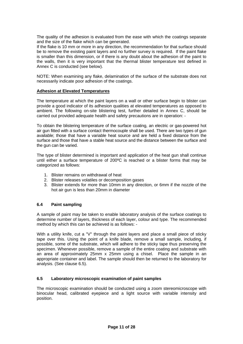The quality of the adhesion is evaluated from the ease with which the coatings separate and the size of the flake which can be generated.

If the flake is 10 mm or more in any direction, the recommendation for that surface should be to remove the existing paint layers and no further survey is required. If the paint flake is smaller than this dimension, or if there is any doubt about the adhesion of the paint to the walls, then it is very important that the thermal blister temperature test defined in Annex C is conducted (see below).

NOTE: When examining any flake, delamination of the surface of the substrate does not necessarily indicate poor adhesion of the coatings.

## **Adhesion at Elevated Temperatures**

The temperature at which the paint layers on a wall or other surface begin to blister can provide a good indicator of its adhesion qualities at elevated temperatures as opposed to ambient. The following on-site blistering test, further detailed in Annex C, should be carried out provided adequate health and safety precautions are in operation: -

To obtain the blistering temperature of the surface coating, an electric or gas-powered hot air gun fitted with a surface contact thermocouple shall be used. There are two types of gun available; those that have a variable heat source and are held a fixed distance from the surface and those that have a stable heat source and the distance between the surface and the gun can be varied.

The type of blister determined is important and application of the heat gun shall continue until either a surface temperature of 200ºC is reached or a blister forms that may be categorized as follows:

- 1. Blister remains on withdrawal of heat
- 2. Blister releases volatiles or decomposition gases
- 3. Blister extends for more than 10mm in any direction, or 6mm if the nozzle of the hot air gun is less than 20mm in diameter

## **6.4 Paint sampling**

A sample of paint may be taken to enable laboratory analysis of the surface coatings to determine number of layers, thickness of each layer, colour and type. The recommended method by which this can be achieved is as follows: -

With a utility knife, cut a "V" through the paint layers and place a small piece of sticky tape over this. Using the point of a knife blade, remove a small sample, including, if possible, some of the substrate, which will adhere to the sticky tape thus preserving the specimen. Whenever possible, remove a sample of the entire coating and substrate with an area of approximately 25mm x 25mm using a chisel. Place the sample in an appropriate container and label. The sample should then be returned to the laboratory for analysis. (See clause 6.5).

## **6.5 Laboratory microscopic examination of paint samples**

The microscopic examination should be conducted using a zoom stereomicroscope with binocular head, calibrated eyepiece and a light source with variable intensity and position.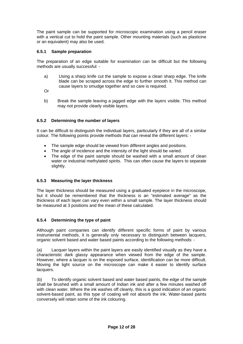The paint sample can be supported for microscopic examination using a pencil eraser with a vertical cut to hold the paint sample. Other mounting materials (such as plasticine or an equivalent) may also be used.

## **6.5.1 Sample preparation**

The preparation of an edge suitable for examination can be difficult but the following methods are usually successful: -

- a) Using a sharp knife cut the sample to expose a clean sharp edge. The knife blade can be scraped across the edge to further smooth it. This method can cause layers to smudge together and so care is required.
- Or
- b) Break the sample leaving a jagged edge with the layers visible. This method may not provide clearly visible layers.

## **6.5.2 Determining the number of layers**

It can be difficult to distinguish the individual layers, particularly if they are all of a similar colour. The following points provide methods that can reveal the different layers: -

- The sample edge should be viewed from different angles and positions.
- The angle of incidence and the intensity of the light should be varied.
- The edge of the paint sample should be washed with a small amount of clean water or industrial methylated spirits. This can often cause the layers to separate slightly.

## **6.5.3 Measuring the layer thickness**

The layer thickness should be measured using a graduated eyepiece in the microscope, but it should be remembered that the thickness is an "estimated average" as the thickness of each layer can vary even within a small sample. The layer thickness should be measured at 3 positions and the mean of these calculated.

## **6.5.4 Determining the type of paint**

Although paint companies can identify different specific forms of paint by various instrumental methods, it is generally only necessary to distinguish between lacquers, organic solvent based and water based paints according to the following methods: -

(a) Lacquer layers within the paint layers are easily identified visually as they have a characteristic dark glassy appearance when viewed from the edge of the sample. However, where a lacquer is on the exposed surface, identification can be more difficult. Moving the light source on the microscope can make it easier to identify surface lacquers.

(b) To identify organic solvent based and water based paints, the edge of the sample shall be brushed with a small amount of Indian ink and after a few minutes washed off with clean water. Where the ink washes off cleanly, this is a good indication of an organic solvent-based paint, as this type of coating will not absorb the ink. Water-based paints conversely will retain some of the ink colouring.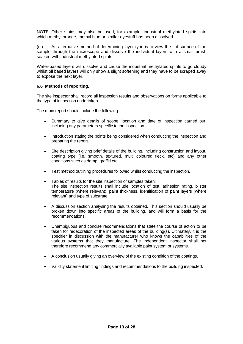NOTE: Other stains may also be used; for example, industrial methylated spirits into which methyl orange, methyl blue or similar dyestuff has been dissolved.

(c ) An alternative method of determining layer type is to view the flat surface of the sample through the microscope and dissolve the individual layers with a small brush soaked with industrial methylated spirits.

Water-based layers will dissolve and cause the industrial methylated spirits to go cloudy whilst oil based layers will only show a slight softening and they have to be scraped away to expose the next layer.

## **6.6 Methods of reporting.**

The site inspector shall record all inspection results and observations on forms applicable to the type of inspection undertaken.

The main report should include the following: -

- Summary to give details of scope, location and date of inspection carried out, including any parameters specific to the inspection.
- Introduction stating the points being considered when conducting the inspection and preparing the report.
- Site description giving brief details of the building, including construction and layout, coating type (i.e. smooth, textured, multi coloured fleck, etc) and any other conditions such as damp, graffiti etc.
- Test method outlining procedures followed whilst conducting the inspection.
- Tables of results for the site inspection of samples taken. The site inspection results shall include location of test, adhesion rating, blister temperature (where relevant), paint thickness, identification of paint layers (where relevant) and type of substrate.
- A discussion section analysing the results obtained. This section should usually be broken down into specific areas of the building, and will form a basis for the recommendations.
- Unambiguous and concise recommendations that state the course of action to be taken for redecoration of the inspected areas of the building(s). Ultimately, it is the specifier in discussion with the manufacturer who knows the capabilities of the various systems that they manufacture. The independent inspector shall not therefore recommend any commercially available paint system or systems.
- A conclusion usually giving an overview of the existing condition of the coatings.
- Validity statement limiting findings and recommendations to the building inspected.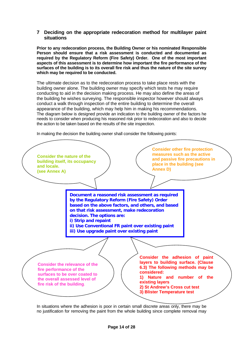## **7 Deciding on the appropriate redecoration method for multilayer paint situations**

**Prior to any redecoration process, the Building Owner or his nominated Responsible Person should ensure that a risk assessment is conducted and documented as required by the Regulatory Reform (Fire Safety) Order. One of the most important aspects of this assessment is to determine how important the fire performance of the surfaces of the building is to its overall fire risk and thus the nature of the site survey which may be required to be conducted.** 

The ultimate decision as to the redecoration process to take place rests with the building owner alone. The building owner may specify which tests he may require conducting to aid in the decision making process. He may also define the areas of the building he wishes surveying. The responsible inspector however should always conduct a walk through inspection of the entire building to determine the overall appearance of the building, which may help him in making his recommendations. The diagram below is designed provide an indication to the building owner of the factors he needs to consider when producing his reasoned risk prior to redecoration and also to decide the action to be taken based on the results of the site inspection.

In making the decision the building owner shall consider the following points:



In situations where the adhesion is poor in certain small discrete areas only, there may be no justification for removing the paint from the whole building since complete removal may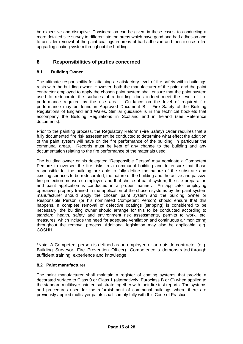be expensive and disruptive. Consideration can be given, in these cases, to conducting a more detailed site survey to differentiate the areas which have good and bad adhesion and to consider removal of the paint coatings in areas of bad adhesion and then to use a fire upgrading coating system throughout the building.

## **8 Responsibilities of parties concerned**

## **8.1 Building Owner**

The ultimate responsibility for attaining a satisfactory level of fire safety within buildings rests with the building owner. However, both the manufacturer of the paint and the paint contractor employed to apply the chosen paint system shall ensure that the paint system used to redecorate the surfaces of a building does indeed meet the level of fire performance required by the use area. Guidance on the level of required fire performance may be found in Approved Document B – Fire Safety of the Building Regulations of England and Wales. Similar guidance is in the technical booklets that accompany the Building Regulations in Scotland and in Ireland (see Reference documents).

Prior to the painting process, the Regulatory Reform (Fire Safety) Order requires that a fully documented fire risk assessment be conducted to determine what effect the addition of the paint system will have on the fire performance of the building, in particular the communal areas. Records must be kept of any change to the building and any documentation relating to the fire performance of the materials used.

The building owner or his delegated 'Responsible Person' may nominate a Competent Person\* to oversee the fire risks in a communal building and to ensure that those responsible for the building are able to fully define the nature of the substrate and existing surfaces to be redecorated, the nature of the building and the active and passive fire protection measures employed and that choice of paint system, the site preparation and paint application is conducted in a proper manner. An applicator employing operatives properly trained in the application of the chosen systems by the paint system manufacturer should apply the chosen paint system and the building owner or Responsible Person (or his nominated Competent Person) should ensure that this happens. If complete removal of defective coatings (stripping) is considered to be necessary, the building owner should arrange for this to be conducted according to standard 'health, safety and environment risk assessments, permits to work, etc' measures, which include the need for adequate ventilation and continuous air monitoring throughout the removal process. Additional legislation may also be applicable; e.g. COSHH.

\*Note: A Competent person is defined as an employee or an outside contractor (e.g. Building Surveyor, Fire Prevention Officer). Competence is demonstrated through sufficient training, experience and knowledge.

## **8.2 Paint manufacturer**

The paint manufacturer shall maintain a register of coating systems that provide a decorated surface to Class 0 or Class 1 (alternatively, Euroclass B or C) when applied to the standard multilayer painted substrate together with their fire test reports. The systems and procedures used for the refurbishment of communal buildings where there are previously applied multilayer paints shall comply fully with this Code of Practice.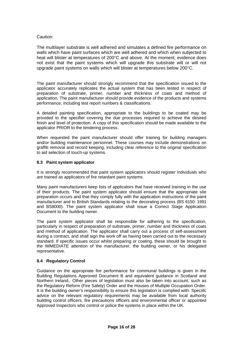## Caution:

The multilayer substrate is well adhered and simulates a defined fire performance on walls which have paint surfaces which are well adhered and which when subjected to heat will blister at temperatures of 200°C and above. At the moment, evidence does not exist that the paint systems which will upgrade this substrate will or will not upgrade paint systems on walls which will blister at temperatures below 200°C.

The paint manufacturer should strongly recommend that the specification issued to the applicator accurately replicates the actual system that has been tested in respect of preparation of substrate, primer, number and thickness of coats and method of application. The paint manufacturer should provide evidence of the products and systems performance, including test report numbers & classifications.

A detailed painting specification, appropriate to the buildings to be coated may be provided to the specifier covering the due processes required to achieve the desired finish and level of protection. A copy of this specification should be made available to the applicator PRIOR to the tendering process.

When requested the paint manufacturer should offer training for building managers and/or building maintenance personnel. These courses may include demonstrations on graffiti removal and record keeping, including clear reference to the original specification to aid selection of touch-up systems.

## **8.3 Paint system applicator**

It is strongly recommended that paint system applicators should register individuals who are trained as applicators of fire retardant paint systems.

Many paint manufacturers keep lists of applicators that have received training in the use of their products. The paint system applicator should ensure that the appropriate site preparation occurs and that they comply fully with the application instructions of the paint manufacturer and to British Standards relating to the decorating process (BS 6150: 1991 and BS8000). The paint system applicator shall issue a Correct Stage Application Document to the building owner.

The paint system applicator shall be responsible for adhering to the specification, particularly in respect of preparation of substrate, primer, number and thickness of coats and method of application. The applicator shall carry out a process of self-assessment during a contract, and shall sign the work off as having been carried out to the necessary standard. If specific issues occur whilst preparing or coating, these should be brought to the IMMEDIATE attention of the manufacturer, the building owner, or his delegated representative.

## **8.4 Regulatory Control**

Guidance on the appropriate fire performance for communal buildings is given in the Building Regulations Approved Document B and equivalent guidance in Scotland and Northern Ireland.. Other pieces of legislation must also be taken into account, such as the Regulatory Reform (Fire Safety) Order and the Houses of Multiple Occupation Order. It is the building owner's responsibility to ensure this legislation is complied with. Speciifc advice on the relevant regulatory requirements may be available from local authority building control officers, fire precautions officers and environmental officer or appointed Approved Inspectors who control or police the systems in place within the UK.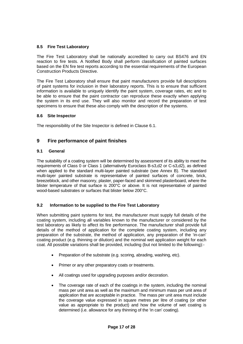## **8.5 Fire Test Laboratory**

The Fire Test Laboratory shall be nationally accredited to carry out BS476 and EN reaction to fire tests. A Notified Body shall perform classification of painted surfaces based on the EN fire test reports according to the essential requirements of the European Construction Products Directive.

The Fire Test Laboratory shall ensure that paint manufacturers provide full descriptions of paint systems for inclusion in their laboratory reports. This is to ensure that sufficient information is available to uniquely identify the paint system, coverage rates, etc and to be able to ensure that the paint contractor can reproduce these exactly when applying the system in its end use. They will also monitor and record the preparation of test specimens to ensure that these also comply with the description of the systems.

## **8.6 Site Inspector**

The responsibility of the Site Inspector is defined in Clause 6.1.

## **9 Fire performance of paint finishes**

## **9.1 General**

The suitability of a coating system will be determined by assessment of its ability to meet the requirements of Class 0 or Class 1 (alternatively Euroclass B-s3,d2 or C-s3,d2), as defined when applied to the standard multi-layer painted substrate (see Annex B). The standard multi-layer painted substrate is representative of painted surfaces of concrete, brick, breezeblock, and other masonry, plaster, paper-faced and skimmed plasterboard, where the blister temperature of that surface is 200°C or above. It is not representative of painted wood-based substrates or surfaces that blister below 200°C.

## **9.2 Information to be supplied to the Fire Test Laboratory**

When submitting paint systems for test, the manufacturer must supply full details of the coating system, including all variables known to the manufacturer or considered by the test laboratory as likely to affect its fire performance. The manufacturer shall provide full details of the method of application for the complete coating system, including any preparation of the substrate, the method of application, any preparation of the 'in-can' coating product (e.g. thinning or dilution) and the nominal wet application weight for each coat. All possible variations shall be provided, including (but not limited to the following):-

- Preparation of the substrate (e.g. scoring, abrading, washing, etc).
- Primer or any other preparatory coats or treatments.
- All coatings used for upgrading purposes and/or decoration.
- The coverage rate of each of the coatings in the system, including the nominal mass per unit area as well as the maximum and minimum mass per unit area of application that are acceptable in practice. The mass per unit area must include the coverage value expressed in square metres per litre of coating (or other value as appropriate to the product) and how the volume of wet coating is determined (i.e. allowance for any thinning of the 'in can' coating).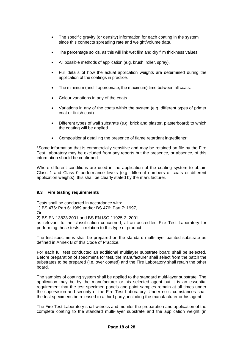- The specific gravity (or density) information for each coating in the system since this connects spreading rate and weight/volume data.
- The percentage solids, as this will link wet film and dry film thickness values.
- All possible methods of application (e.g. brush, roller, spray).
- Full details of how the actual application weights are determined during the application of the coatings in practice.
- The minimum (and if appropriate, the maximum) time between all coats.
- Colour variations in any of the coats.
- Variations in any of the coats within the system (e.g. different types of primer coat or finish coat).
- Different types of wall substrate (e.g. brick and plaster, plasterboard) to which the coating will be applied.
- Compositional detailing the presence of flame retardant ingredients\*

\*Some information that is commercially sensitive and may be retained on file by the Fire Test Laboratory may be excluded from any reports but the presence, or absence, of this information should be confirmed.

Where different conditions are used in the application of the coating system to obtain Class 1 and Class 0 performance levels (e.g. different numbers of coats or different application weights), this shall be clearly stated by the manufacturer.

## **9.3 Fire testing requirements**

Tests shall be conducted in accordance with:

1) BS 476: Part 6: 1989 and/or BS 476: Part 7: 1997,

Or

2) BS EN 13823:2001 and BS EN ISO 11925-2: 2001,

as relevant to the classification concerned, at an accredited Fire Test Laboratory for performing these tests in relation to this type of product.

The test specimens shall be prepared on the standard multi-layer painted substrate as defined in Annex B of this Code of Practice.

For each full test conducted an additional multilayer substrate board shall be selected. Before preparation of specimens for test, the manufacturer shall select from the batch the substrates to be prepared (i.e. over coated) and the Fire Laboratory shall retain the other board.

The samples of coating system shall be applied to the standard multi-layer substrate. The application may be by the manufacturer or his selected agent but it is an essential requirement that the test specimen panels and paint samples remain at all times under the supervision and security of the Fire Test Laboratory. Under no circumstances shall the test specimens be released to a third party, including the manufacturer or his agent.

The Fire Test Laboratory shall witness and monitor the preparation and application of the complete coating to the standard multi-layer substrate and the application weight (in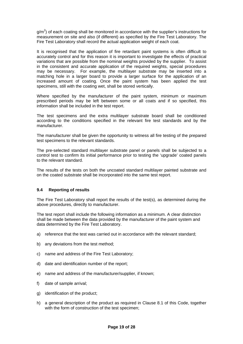$g/m<sup>2</sup>$ ) of each coating shall be monitored in accordance with the supplier's instructions for measurement on site and also (if different) as specified by the Fire Test Laboratory. The Fire Test Laboratory shall record the actual application weight of each coat.

It is recognised that the application of fire retardant paint systems is often difficult to accurately control and for this reason it is important to investigate the effects of practical variations that are possible from the nominal weights provided by the supplier. To assist in the consistent and accurate application of the required weights, special procedures may be necessary. For example, the multilayer substrate may be inserted into a matching hole in a larger board to provide a larger surface for the application of an increased amount of coating. Once the paint system has been applied the test specimens, still with the coating wet, shall be stored vertically.

Where specified by the manufacturer of the paint system, minimum or maximum prescribed periods may be left between some or all coats and if so specified, this information shall be included in the test report.

The test specimens and the extra multilayer substrate board shall be conditioned according to the conditions specified in the relevant fire test standards and by the manufacturer.

The manufacturer shall be given the opportunity to witness all fire testing of the prepared test specimens to the relevant standards.

The pre-selected standard multilayer substrate panel or panels shall be subjected to a control test to confirm its initial performance prior to testing the 'upgrade' coated panels to the relevant standard.

The results of the tests on both the uncoated standard multilayer painted substrate and on the coated substrate shall be incorporated into the same test report.

## **9.4 Reporting of results**

The Fire Test Laboratory shall report the results of the test(s), as determined during the above procedures, directly to manufacturer.

The test report shall include the following information as a minimum. A clear distinction shall be made between the data provided by the manufacturer of the paint system and data determined by the Fire Test Laboratory.

- a) reference that the test was carried out in accordance with the relevant standard;
- b) any deviations from the test method;
- c) name and address of the Fire Test Laboratory;
- d) date and identification number of the report;
- e) name and address of the manufacturer/supplier, if known;
- f) date of sample arrival;
- g) identification of the product;
- h) a general description of the product as required in Clause 8.1 of this Code, together with the form of construction of the test specimen;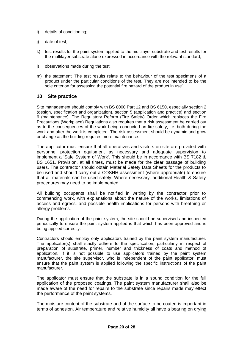- i) details of conditioning;
- j) date of test;
- k) test results for the paint system applied to the multilayer substrate and test results for the multilayer substrate alone expressed in accordance with the relevant standard;
- l) observations made during the test;
- m) the statement 'The test results relate to the behaviour of the test specimens of a product under the particular conditions of the test. They are not intended to be the sole criterion for assessing the potential fire hazard of the product in use'.

## **10 Site practice**

Site management should comply with BS 8000 Part 12 and BS 6150, especially section 2 (design, specification and organization), section 5 (application and practice) and section 6 (maintenance). The Regulatory Reform (Fire Safety) Order which replaces the Fire Precautions (Workplace) Regulations also requires that a risk assessment be carried out as to the consequences of the work being conducted on fire safety, i.e. both during the work and after the work is completed. The risk assessment should be dynamic and grow or change as the building requires more maintenance.

The applicator must ensure that all operatives and visitors on site are provided with personnel protection equipment as necessary and adequate supervision to implement a 'Safe System of Work'. This should be in accordance with BS 7182 & BS 1651. Provision, at all times, must be made for the clear passage of building users. The contractor should obtain Material Safety Data Sheets for the products to be used and should carry out a COSHH assessment (where appropriate) to ensure that all materials can be used safely. Where necessary, additional Health & Safety procedures may need to be implemented.

All building occupants shall be notified in writing by the contractor prior to commencing work, with explanations about the nature of the works, limitations of access and egress, and possible health implications for persons with breathing or allergy problems.

During the application of the paint system, the site should be supervised and inspected periodically to ensure the paint system applied is that which has been approved and is being applied correctly.

Contractors should employ only applicators trained by the paint system manufacturer. The applicator(s) shall strictly adhere to the specification, particularly in respect of preparation of substrate, primer, number and thickness of coats and method of application. If it is not possible to use applicators trained by the paint system manufacturer, the site supervisor, who is independent of the paint applicator, must ensure that the paint system is applied following the specific instructions of the paint manufacturer.

The applicator must ensure that the substrate is in a sound condition for the full application of the proposed coatings. The paint system manufacturer shall also be made aware of the need for repairs to the substrate since repairs made may effect the performance of the paint systems.

The moisture content of the substrate and of the surface to be coated is important in terms of adhesion. Air temperature and relative humidity all have a bearing on drying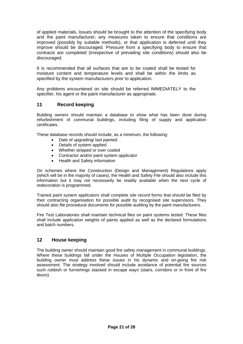of applied materials. Issues should be brought to the attention of the specifying body and the paint manufacturer; any measures taken to ensure that conditions are improved (possibly by suitable methods), or that application is deferred until they improve should be discouraged. Pressure from a specifying body to ensure that contracts are completed (irrespective of prevailing site conditions) should also be discouraged.

It is recommended that all surfaces that are to be coated shall be tested for moisture content and temperature levels and shall be within the limits as specified by the system manufacturers prior to application.

Any problems encountered on site should be referred IMMEDIATELY to the specifier, his agent or the paint manufacturer as appropriate.

## **11 Record keeping**

Building owners should maintain a database to show what has been done during refurbishment of communal buildings, including filing of supply and application certificates.

These database records should include, as a minimum, the following:

- Date of upgrading/ last painted
- Details of system applied
- Whether stripped or over coated
- Contractor and/or paint system applicator
- Health and Safety information

On schemes where the Construction (Design and Management) Regulations apply (which will be in the majority of cases), the Health and Safety File should also include this information but it may not necessarily be readily available when the next cycle of redecoration is programmed.

Trained paint system applicators shall complete site record forms that should be filed by their contracting organisation for possible audit by recognised site supervisors. They should also file procedural documents for possible auditing by the paint manufacturers.

Fire Test Laboratories shall maintain technical files on paint systems tested. These files shall include application weights of paints applied as well as the declared formulations and batch numbers.

## **12 House keeping**

The building owner should maintain good fire safety management in communal buildings. Where these buildings fall under the Houses of Multiple Occupation legislation, the building owner must address these issues in his dynamic and on-going fire risk assessment. The strategy involved should include avoidance of potential fire sources such rubbish or furnishings stacked in escape ways (stairs, corridors or in front of fire doors).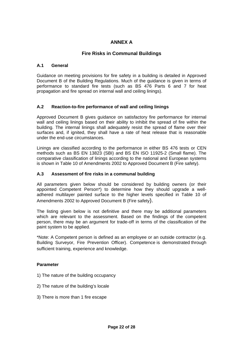## **ANNEX A**

## **Fire Risks in Communal Buildings**

## **A.1 General**

Guidance on meeting provisions for fire safety in a building is detailed in Approved Document B of the Building Regulations. Much of the guidance is given in terms of performance to standard fire tests (such as BS 476 Parts 6 and 7 for heat propagation and fire spread on internal wall and ceiling linings).

## **A.2 Reaction-to-fire performance of wall and ceiling linings**

Approved Document B gives guidance on satisfactory fire performance for internal wall and ceiling linings based on their ability to inhibit the spread of fire within the building. The internal linings shall adequately resist the spread of flame over their surfaces and, if ignited, they shall have a rate of heat release that is reasonable under the end-use circumstances.

Linings are classified according to the performance in either BS 476 tests or CEN methods such as BS EN 13823 (SBI) and BS EN ISO 11925-2 (Small flame). The comparative classification of linings according to the national and European systems is shown in Table 10 of Amendments 2002 to Approved Document B (Fire safety).

## **A.3 Assessment of fire risks in a communal building**

All parameters given below should be considered by building owners (or their appointed Competent Person\*) to determine how they should upgrade a welladhered multilayer painted surface to the higher levels specified in Table 10 of Amendments 2002 to Approved Document B (Fire safety).

The listing given below is not definitive and there may be additional parameters which are relevant to the assessment. Based on the findings of the competent person, there may be an argument for trade-off in terms of the classification of the paint system to be applied.

\*Note: A Competent person is defined as an employee or an outside contractor (e.g. Building Surveyor, Fire Prevention Officer). Competence is demonstrated through sufficient training, experience and knowledge.

## **Parameter**

- 1) The nature of the building occupancy
- 2) The nature of the building's locale
- 3) There is more than 1 fire escape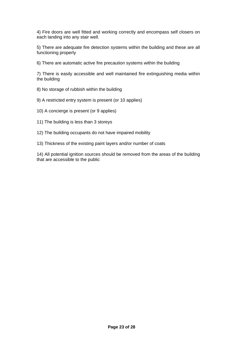4) Fire doors are well fitted and working correctly and encompass self closers on each landing into any stair well.

5) There are adequate fire detection systems within the building and these are all functioning properly

6) There are automatic active fire precaution systems within the building

7) There is easily accessible and well maintained fire extinguishing media within the building

- 8) No storage of rubbish within the building
- 9) A restricted entry system is present (or 10 applies)
- 10) A concierge is present (or 9 applies)
- 11) The building is less than 3 storeys
- 12) The building occupants do not have impaired mobility
- 13) Thickness of the existing paint layers and/or number of coats

14) All potential ignition sources should be removed from the areas of the building that are accessible to the public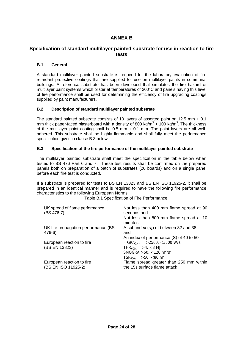## **ANNEX B**

## **Specification of standard multilayer painted substrate for use in reaction to fire tests**

## **B.1 General**

A standard multilayer painted substrate is required for the laboratory evaluation of fire retardant protective coatings that are supplied for use on multilayer paints in communal buildings. A reference substrate has been developed that simulates the fire hazard of multilayer paint systems which blister at temperatures of 200°C and panels having this level of fire performance shall be used for determining the efficiency of fire upgrading coatings supplied by paint manufacturers.

## **B.2 Description of standard multilayer painted substrate**

The standard painted substrate consists of 10 layers of assorted paint on 12.5 mm + 0.1 mm thick paper-faced plasterboard with a density of 800 kg/m<sup>3</sup>  $\pm$  100 kg/m<sup>3</sup>. The thickness of the multilayer paint coating shall be 0.5 mm  $\pm$  0.1 mm. The paint layers are all welladhered. This substrate shall be highly flammable and shall fully meet the performance specification given in clause B.3 below.

## **B.3 Specification of the fire performance of the multilayer painted substrate**

The multilayer painted substrate shall meet the specification in the table below when tested to BS 476 Part 6 and 7. These test results shall be confirmed on the prepared panels both on preparation of a batch of substrates (20 boards) and on a single panel before each fire test is conducted.

If a substrate is prepared for tests to BS EN 13823 and BS EN ISO 11925-2, it shall be prepared in an identical manner and is required to have the following fire performance characteristics to the following European Norms.

Table B.1 Specification of Fire Performance

| UK spread of flame performance<br>(BS 476-7) | Not less than 400 mm flame spread at 90<br>seconds and |
|----------------------------------------------|--------------------------------------------------------|
|                                              | Not less than 800 mm flame spread at 10<br>minutes     |
| UK fire propagation performance (BS          | A sub-index $(s_1)$ of between 32 and 38               |
| 476-6)                                       | and                                                    |
|                                              | An index of performance (S) of 40 to 50                |
| European reaction to fire                    | $FIGRA_{0.4MJ}$ > 2500, <3500 W/s                      |
| (BS EN 13823)                                | THR <sub>600s</sub> > 4, < 8 MJ                        |
|                                              | SMOGRA > 50, <120 m <sup>2</sup> /s <sup>2</sup>       |
|                                              | $TSP600s$ >50, <80 m <sup>2</sup>                      |
| European reaction to fire                    | Flame spread greater than 250 mm within                |
| (BS EN ISO 11925-2)                          | the 15s surface flame attack                           |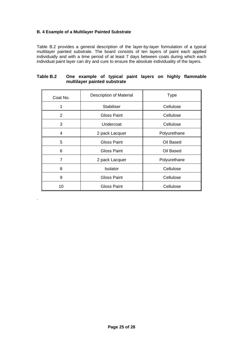## **B. 4 Example of a Multilayer Painted Substrate**

.

Table B.2 provides a general description of the layer-by-layer formulation of a typical multilayer painted substrate. The board consists of ten layers of paint each applied individually and with a time period of at least 7 days between coats during which each individual paint layer can dry and cure to ensure the absolute individuality of the layers.

| Coat No.       | <b>Description of Material</b> | <b>Type</b>  |
|----------------|--------------------------------|--------------|
| 1              | <b>Stabiliser</b>              | Cellulose    |
| $\overline{2}$ | <b>Gloss Paint</b>             | Cellulose    |
| 3              | Undercoat                      | Cellulose    |
| 4              | 2 pack Lacquer                 | Polyurethane |
| 5              | <b>Gloss Paint</b>             | Oil Based    |
| 6              | <b>Gloss Paint</b>             | Oil Based    |
| 7              | 2 pack Lacquer                 | Polyurethane |
| 8              | Isolator                       | Cellulose    |
| 9              | <b>Gloss Paint</b>             | Cellulose    |
| 10             | Gloss Paint                    | Cellulose    |

## **Table B.2 One example of typical paint layers on highly flammable multilayer painted substrate**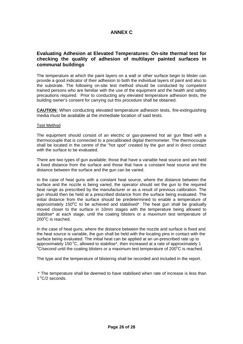## **ANNEX C**

## **Evaluating Adhesion at Elevated Temperatures: On-site thermal test for checking the quality of adhesion of multilayer painted surfaces in communal buildings**

The temperature at which the paint layers on a wall or other surface begin to blister can provide a good indicator of their adhesion to both the individual layers of paint and also to the substrate. The following on-site test method should be conducted by competent trained persons who are familiar with the use of the equipment and the health and safety precautions required. Prior to conducting any elevated temperature adhesion tests, the building owner's consent for carrying out this procedure shall be obtained.

**CAUTION:** When conducting elevated temperature adhesion tests, fire-extinguishing media must be available at the immediate location of said tests.

#### Test Method

The equipment should consist of an electric or gas-powered hot air gun fitted with a thermocouple that is connected to a precalibrated digital thermometer. The thermocouple shall be located in the centre of the "hot spot" created by the gun and in direct contact with the surface to be evaluated.

There are two types of gun available; those that have a variable heat source and are held a fixed distance from the surface and those that have a constant heat source and the distance between the surface and the gun can be varied.

In the case of heat guns with a constant heat source, where the distance between the surface and the nozzle is being varied, the operator should set the gun to the required heat range as prescribed by the manufacturer or as a result of previous calibration. The gun should then be held at a prescribed distance from the surface being evaluated. The initial distance from the surface should be predetermined to enable a temperature of approximately 150 $\mathrm{^{\circ}C}$  to be achieved and stabilised\*. The heat gun shall be gradually moved closer to the surface in 10mm stages with the temperature being allowed to stabilise\* at each stage, until the coating blisters or a maximum test temperature of 200°C is reached.

In the case of heat guns, where the distance between the nozzle and surface is fixed and the heat source is variable, the gun shall be held with the locating pins in contact with the surface being evaluated. The initial heat can be applied at an un-prescribed rate up to approximately 150 $\degree$ C, allowed to stabilise\*, then increased at a rate of approximately 1  $\dot{C}$ /second until the coating blisters or a maximum test temperature of 200 $^{\circ}$ C is reached.

The type and the temperature of blistering shall be recorded and included in the report.

 \* The temperature shall be deemed to have stabilised when rate of increase is less than  $1^{\circ}$ C/2 seconds.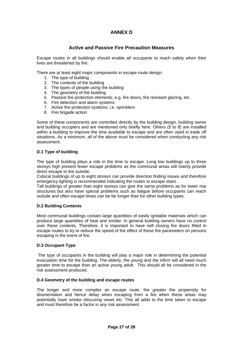## **ANNEX D**

## **Active and Passive Fire Precaution Measures**

Escape routes in all buildings should enable all occupants to reach safety when their lives are threatened by fire.

There are at least eight major components in escape route design:

- 1. The type of building
- 2. The contents of the building
- 3. The types of people using the building
- 4. The geometry of the building
- 5. Passive fire protection elements; e.g. fire doors, fire resistant glazing, etc.
- 6. Fire detection and alarm systems
- 7. Active fire protection systems; i.e. sprinklers
- 8. Fire brigade action

Some of these components are controlled directly by the building design, building owner and building occupiers and are mentioned only briefly here. Others (5 to 8) are installed within a building to improve the time available to escape and are often used in trade off situations. As a minimum, all of the above must be considered when conducting any risk assessment.

## **D.1 Type of building**

The type of building plays a role in the time to escape. Long low buildings up to three storeys high present fewer escape problems as the communal areas will mainly provide direct escape to the outside.

Cubical buildings of up to eight storeys can provide direction finding issues and therefore emergency lighting is recommended indicating the routes to escape stairs .

Tall buildings of greater than eight storeys can give the same problems as for lower rise structures but also have special problems such as fatigue before occupants can reach outside and often escape times can be far longer than for other building types.

## **D.2 Building Contents**

Most communal buildings contain large quantities of easily ignitable materials which can produce large quantities of heat and smoke. In general building owners have no control over these contents. Therefore, it is important to have self closing fire doors fitted in escape routes to try to reduce the speed of the effect of these fire parameters on persons escaping in the event of fire.

#### **D.3 Occupant Type**

 The type of occupants in the building will play a major role in determining the potential evacuation time for the building. The elderly, the young and the infirm will all need much greater time to escape than an active young adult. This should all be considered in the risk assessment produced.

## **D.4 Geometry of the building and escape routes**

The longer and more complex an escape route, the greater the propensity for disorientation and hence delay when escaping from a fire when these areas may potentially have smoke obscuring views etc. This all adds to the time taken to escape and must therefore be a factor in any risk assessment.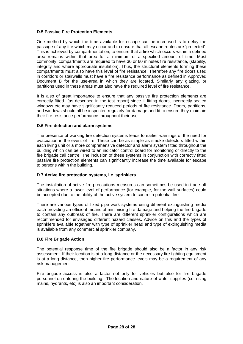## **D.5 Passive Fire Protection Elements**

One method by which the time available for escape can be increased is to delay the passage of any fire which may occur and to ensure that all escape routes are 'protected'. This is achieved by compartmentation, to ensure that a fire which occurs within a defined area remains within that area for a minimum of a specified amount of time. Most commonly, compartments are required to have 30 or 60 minutes fire resistance, (stability, integrity and where appropriate insulation). Thus, the structural elements forming these compartments must also have this level of fire resistance. Therefore any fire doors used in corridors or stairwells must have a fire resistance performance as defined in Approved Document B for the use-area in which they are located. Similarly any glazing, or partitions used in these areas must also have the required level of fire resistance.

It is also of great importance to ensure that any passive fire protection elements are correctly fitted (as described in the test report) since ill-fitting doors, incorrectly sealed windows etc may have significantly reduced periods of fire resistance. Doors, partitions, and windows should all be inspected regularly for damage and fit to ensure they maintain their fire resistance performance throughout their use.

## **D.6 Fire detection and alarm systems**

The presence of working fire detection systems leads to earlier warnings of the need for evacuation in the event of fire. These can be as simple as smoke detectors fitted within each living unit or a more comprehensive detector and alarm system fitted throughout the building which can be wired to an indicator control board for monitoring or directly to the fire brigade call centre. The inclusion of these systems in conjunction with correctly fitted passive fire protection elements can significantly increase the time available for escape to persons within the building.

## **D.7 Active fire protection systems, i.e. sprinklers**

The installation of active fire precautions measures can sometimes be used in trade off situations where a lower level of performance (for example, for the wall surfaces) could be accepted due to the ability of the active system to control a potential fire.

There are various types of fixed pipe work systems using different extinguishing media each providing an efficient means of minimising fire damage and helping the fire brigade to contain any outbreak of fire. There are different sprinkler configurations which are recommended for envisaged different hazard classes. Advice on this and the types of sprinklers available together with type of sprinkler head and type of extinguishing media is available from any commercial sprinkler company.

## **D.8 Fire Brigade Action**

The potential response time of the fire brigade should also be a factor in any risk assessment. If their location is at a long distance or the necessary fire fighting equipment is at a long distance, then higher fire performance levels may be a requirement of any risk management.

Fire brigade access is also a factor not only for vehicles but also for fire brigade personnel on entering the building. The location and nature of water supplies (i.e. rising mains, hydrants, etc) is also an important consideration.